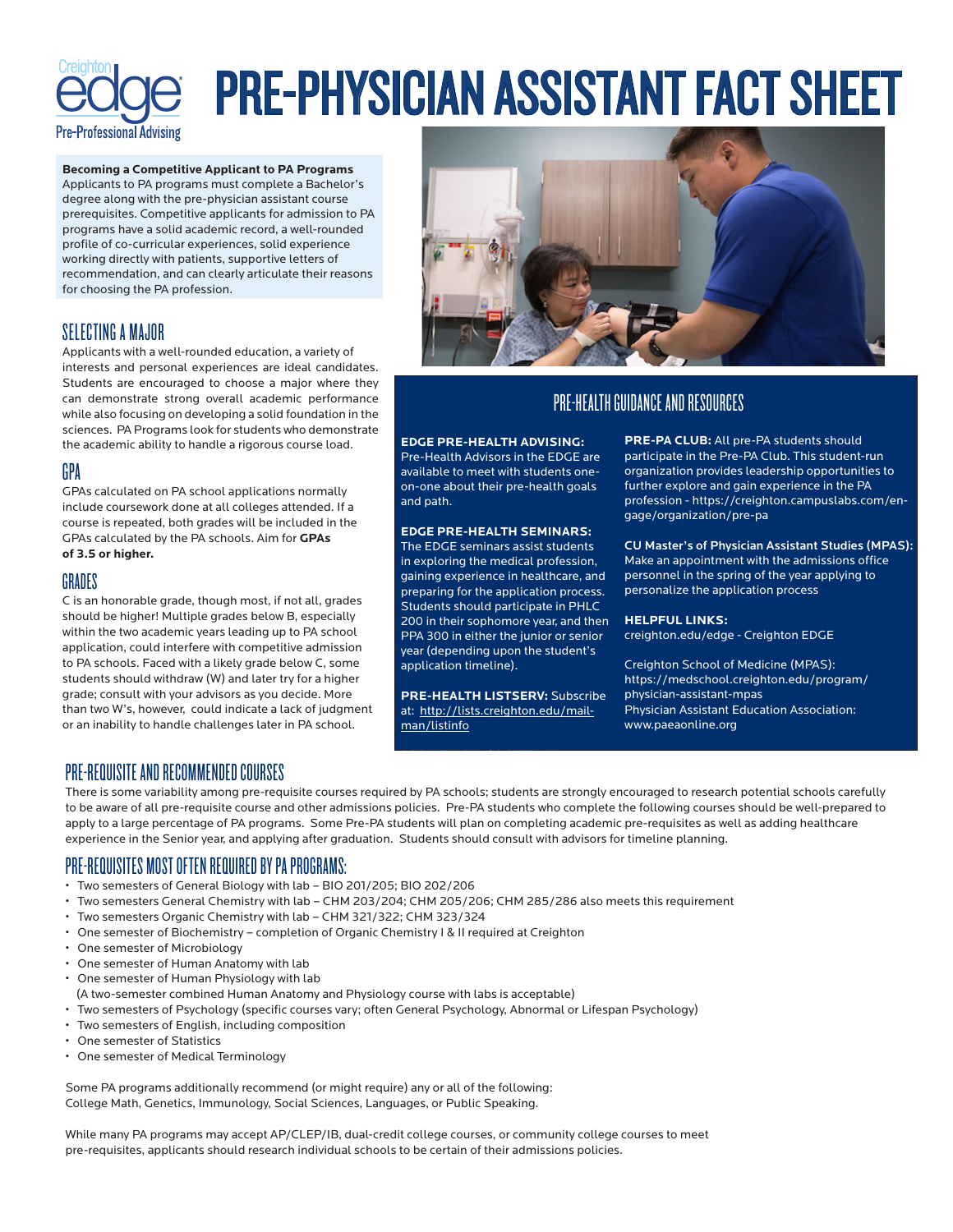

# PRE-PHYSICIAN ASSISTANT FACT SHEET

**Becoming a Competitive Applicant to PA Programs** Applicants to PA programs must complete a Bachelor's degree along with the pre-physician assistant course prerequisites. Competitive applicants for admission to PA programs have a solid academic record, a well-rounded profile of co-curricular experiences, solid experience working directly with patients, supportive letters of recommendation, and can clearly articulate their reasons for choosing the PA profession.

# SELECTING A MAJOR

Applicants with a well-rounded education, a variety of interests and personal experiences are ideal candidates. Students are encouraged to choose a major where they can demonstrate strong overall academic performance while also focusing on developing a solid foundation in the sciences. PA Programs look for students who demonstrate the academic ability to handle a rigorous course load.

## GPA

GPAs calculated on PA school applications normally include coursework done at all colleges attended. If a course is repeated, both grades will be included in the GPAs calculated by the PA schools. Aim for **GPAs of 3.5 or higher.**

## GRADES

C is an honorable grade, though most, if not all, grades should be higher! Multiple grades below B, especially within the two academic years leading up to PA school application, could interfere with competitive admission to PA schools. Faced with a likely grade below C, some students should withdraw (W) and later try for a higher grade; consult with your advisors as you decide. More than two W's, however, could indicate a lack of judgment or an inability to handle challenges later in PA school.



# PRE-HEALTH GUIDANCE AND RESOURCES

### **EDGE PRE-HEALTH ADVISING:**

Pre-Health Advisors in the EDGE are available to meet with students oneon-one about their pre-health goals and path.

## **EDGE PRE-HEALTH SEMINARS:**

The EDGE seminars assist students in exploring the medical profession, gaining experience in healthcare, and preparing for the application process. Students should participate in PHLC 200 in their sophomore year, and then PPA 300 in either the junior or senior year (depending upon the student's application timeline).

**PRE-HEALTH LISTSERV:** Subscribe at: http://lists.creighton.edu/mailman/listinfo

**PRE-PA CLUB:** All pre-PA students should participate in the Pre-PA Club. This student-run organization provides leadership opportunities to further explore and gain experience in the PA profession - https://creighton.campuslabs.com/engage/organization/pre-pa

CU Master's of Physician Assistant Studies (MPAS): Make an appointment with the admissions office personnel in the spring of the year applying to personalize the application process

#### **HELPFUL LINKS:**

creighton.edu/edge - Creighton EDGE

Creighton School of Medicine (MPAS): https://medschool.creighton.edu/program/ physician-assistant-mpas Physician Assistant Education Association: www.paeaonline.org

## PRE-REQUISITE AND RECOMMENDED COURSES

There is some variability among pre-requisite courses required by PA schools; students are strongly encouraged to research potential schools carefully to be aware of all pre-requisite course and other admissions policies. Pre-PA students who complete the following courses should be well-prepared to apply to a large percentage of PA programs. Some Pre-PA students will plan on completing academic pre-requisites as well as adding healthcare experience in the Senior year, and applying after graduation. Students should consult with advisors for timeline planning.

PRE-MEDICAL SOCIETY: All

# PRE-REQUISITES MOST OFTEN REQUIRED BY PA PROGRAMS:

- Two semesters of General Biology with lab BIO 201/205; BIO 202/206
- Two semesters General Chemistry with lab CHM 203/204; CHM 205/206; CHM 285/286 also meets this requirement
- Two semesters Organic Chemistry with lab CHM 321/322; CHM 323/324
- One semester of Biochemistry completion of Organic Chemistry I & II required at Creighton
- One semester of Microbiology
- One semester of Human Anatomy with lab
- One semester of Human Physiology with lab
- (A two-semester combined Human Anatomy and Physiology course with labs is acceptable)
- Two semesters of Psychology (specific courses vary; often General Psychology, Abnormal or Lifespan Psychology)
- Two semesters of English, including composition
- One semester of Statistics
- One semester of Medical Terminology

Some PA programs additionally recommend (or might require) any or all of the following: College Math, Genetics, Immunology, Social Sciences, Languages, or Public Speaking.

While many PA programs may accept AP/CLEP/IB, dual-credit college courses, or community college courses to meet pre-requisites, applicants should research individual schools to be certain of their admissions policies.